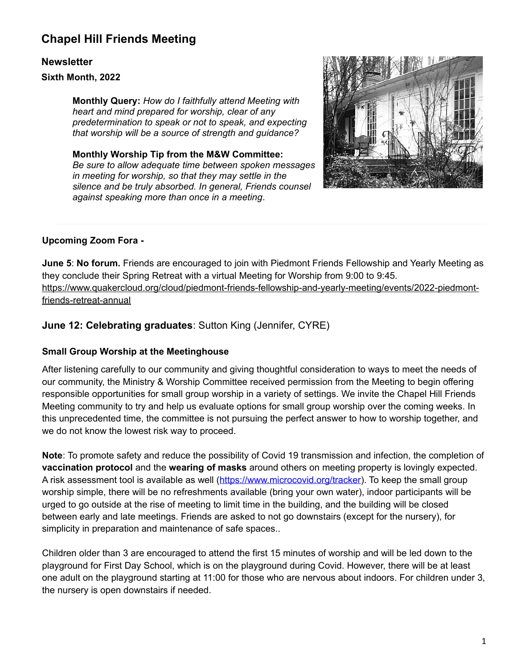## **Chapel Hill Friends Meeting**

## **Newsletter**

**Sixth Month, 2022**

**Monthly Query:** *How do I faithfully attend Meeting with heart and mind prepared for worship, clear of any predetermination to speak or not to speak, and expecting that worship will be a source of strength and guidance?*

**Monthly Worship Tip from the M&W Committee:** *Be sure to allow adequate time between spoken messages in meeting for worship, so that they may settle in the silence and be truly absorbed. In general, Friends counsel against speaking more than once in a meeting*.



## **Upcoming Zoom Fora -**

**June 5**: **No forum.** Friends are encouraged to join with Piedmont Friends Fellowship and Yearly Meeting as they conclude their Spring Retreat with a virtual Meeting for Worship from 9:00 to 9:45. [https://www.quakercloud.org/cloud/piedmont-friends-fellowship-and-yearly-meeting/events/2022-piedmont](https://www.quakercloud.org/cloud/piedmont-friends-fellowship-and-yearly-meeting/events/2022-piedmont-friends-retreat-annual)[friends-retreat-annual](https://www.quakercloud.org/cloud/piedmont-friends-fellowship-and-yearly-meeting/events/2022-piedmont-friends-retreat-annual)

## **June 12: Celebrating graduates**: Sutton King (Jennifer, CYRE)

### **Small Group Worship at the Meetinghouse**

After listening carefully to our community and giving thoughtful consideration to ways to meet the needs of our community, the Ministry & Worship Committee received permission from the Meeting to begin offering responsible opportunities for small group worship in a variety of settings. We invite the Chapel Hill Friends Meeting community to try and help us evaluate options for small group worship over the coming weeks. In this unprecedented time, the committee is not pursuing the perfect answer to how to worship together, and we do not know the lowest risk way to proceed.

**Note**: To promote safety and reduce the possibility of Covid 19 transmission and infection, the completion of **vaccination protocol** and the **wearing of masks** around others on meeting property is lovingly expected. A risk assessment tool is available as well [\(https://www.microcovid.org/tracker\)](https://www.microcovid.org/tracker). To keep the small group worship simple, there will be no refreshments available (bring your own water), indoor participants will be urged to go outside at the rise of meeting to limit time in the building, and the building will be closed between early and late meetings. Friends are asked to not go downstairs (except for the nursery), for simplicity in preparation and maintenance of safe spaces..

Children older than 3 are encouraged to attend the first 15 minutes of worship and will be led down to the playground for First Day School, which is on the playground during Covid. However, there will be at least one adult on the playground starting at 11:00 for those who are nervous about indoors. For children under 3, the nursery is open downstairs if needed.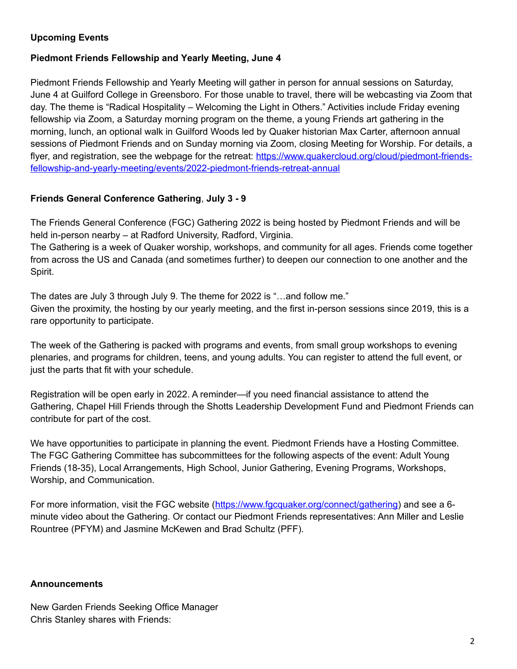## **Upcoming Events**

#### **Piedmont Friends Fellowship and Yearly Meeting, June 4**

Piedmont Friends Fellowship and Yearly Meeting will gather in person for annual sessions on Saturday, June 4 at Guilford College in Greensboro. For those unable to travel, there will be webcasting via Zoom that day. The theme is "Radical Hospitality – Welcoming the Light in Others." Activities include Friday evening fellowship via Zoom, a Saturday morning program on the theme, a young Friends art gathering in the morning, lunch, an optional walk in Guilford Woods led by Quaker historian Max Carter, afternoon annual sessions of Piedmont Friends and on Sunday morning via Zoom, closing Meeting for Worship. For details, a flyer, and registration, see the webpage for the retreat: [https://www.quakercloud.org/cloud/piedmont-friends](https://www.quakercloud.org/cloud/piedmont-friends-fellowship-and-yearly-meeting/events/2022-piedmont-friends-retreat-annual)[fellowship-and-yearly-meeting/events/2022-piedmont-friends-retreat-annual](https://www.quakercloud.org/cloud/piedmont-friends-fellowship-and-yearly-meeting/events/2022-piedmont-friends-retreat-annual)

#### **Friends General Conference Gathering**, **July 3 - 9**

The Friends General Conference (FGC) Gathering 2022 is being hosted by Piedmont Friends and will be held in-person nearby – at Radford University, Radford, Virginia.

The Gathering is a week of Quaker worship, workshops, and community for all ages. Friends come together from across the US and Canada (and sometimes further) to deepen our connection to one another and the Spirit.

The dates are July 3 through July 9. The theme for 2022 is "…and follow me." Given the proximity, the hosting by our yearly meeting, and the first in-person sessions since 2019, this is a rare opportunity to participate.

The week of the Gathering is packed with programs and events, from small group workshops to evening plenaries, and programs for children, teens, and young adults. You can register to attend the full event, or just the parts that fit with your schedule.

Registration will be open early in 2022. A reminder—if you need financial assistance to attend the Gathering, Chapel Hill Friends through the Shotts Leadership Development Fund and Piedmont Friends can contribute for part of the cost.

We have opportunities to participate in planning the event. Piedmont Friends have a Hosting Committee. The FGC Gathering Committee has subcommittees for the following aspects of the event: Adult Young Friends (18-35), Local Arrangements, High School, Junior Gathering, Evening Programs, Workshops, Worship, and Communication.

For more information, visit the FGC website (<https://www.fgcquaker.org/connect/gathering>) and see a 6minute video about the Gathering. Or contact our Piedmont Friends representatives: Ann Miller and Leslie Rountree (PFYM) and Jasmine McKewen and Brad Schultz (PFF).

#### **Announcements**

New Garden Friends Seeking Office Manager Chris Stanley shares with Friends: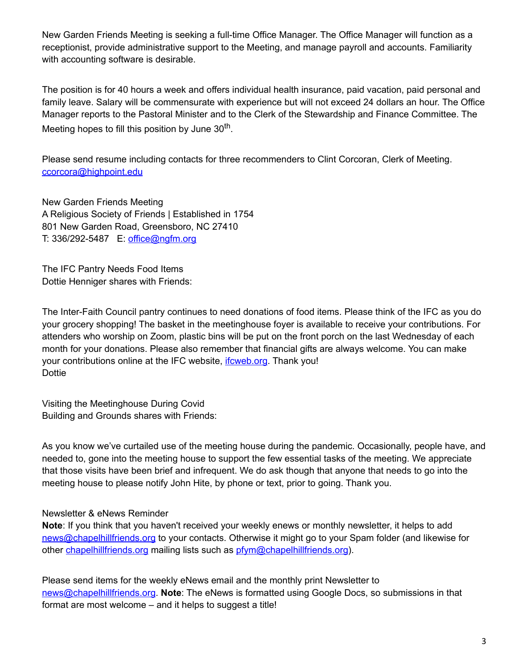New Garden Friends Meeting is seeking a full-time Office Manager. The Office Manager will function as a receptionist, provide administrative support to the Meeting, and manage payroll and accounts. Familiarity with accounting software is desirable.

The position is for 40 hours a week and offers individual health insurance, paid vacation, paid personal and family leave. Salary will be commensurate with experience but will not exceed 24 dollars an hour. The Office Manager reports to the Pastoral Minister and to the Clerk of the Stewardship and Finance Committee. The Meeting hopes to fill this position by June 30<sup>th</sup>.

Please send resume including contacts for three recommenders to Clint Corcoran, Clerk of Meeting. [ccorcora@highpoint.edu](mailto:ccorcora@highpoint.edu)

New Garden Friends Meeting A Religious Society of Friends | Established in 1754 801 New Garden Road, Greensboro, NC 27410 T: 336/292-5487 E: [office@ngfm.org](mailto:office@ngfm.org)

The IFC Pantry Needs Food Items Dottie Henniger shares with Friends:

The Inter-Faith Council pantry continues to need donations of food items. Please think of the IFC as you do your grocery shopping! The basket in the meetinghouse foyer is available to receive your contributions. For attenders who worship on Zoom, plastic bins will be put on the front porch on the last Wednesday of each month for your donations. Please also remember that financial gifts are always welcome. You can make your contributions online at the IFC website, *[ifcweb.org](http://ifcweb.org/)*. Thank you! Dottie

Visiting the Meetinghouse During Covid Building and Grounds shares with Friends:

As you know we've curtailed use of the meeting house during the pandemic. Occasionally, people have, and needed to, gone into the meeting house to support the few essential tasks of the meeting. We appreciate that those visits have been brief and infrequent. We do ask though that anyone that needs to go into the meeting house to please notify John Hite, by phone or text, prior to going. Thank you.

### Newsletter & eNews Reminder

**Note**: If you think that you haven't received your weekly enews or monthly newsletter, it helps to add [news@chapelhillfriends.org](mailto:news@chapelhillfriends.org) to your contacts. Otherwise it might go to your Spam folder (and likewise for other [chapelhillfriends.org](http://chapelhillfriends.org/) mailing lists such as [pfym@chapelhillfriends.org\)](mailto:pfym@chapelhillfriends.org).

Please send items for the weekly eNews email and the monthly print Newsletter to [news@chapelhillfriends.org](mailto:news@chapelhillfriends.org). **Note**: The eNews is formatted using Google Docs, so submissions in that format are most welcome – and it helps to suggest a title!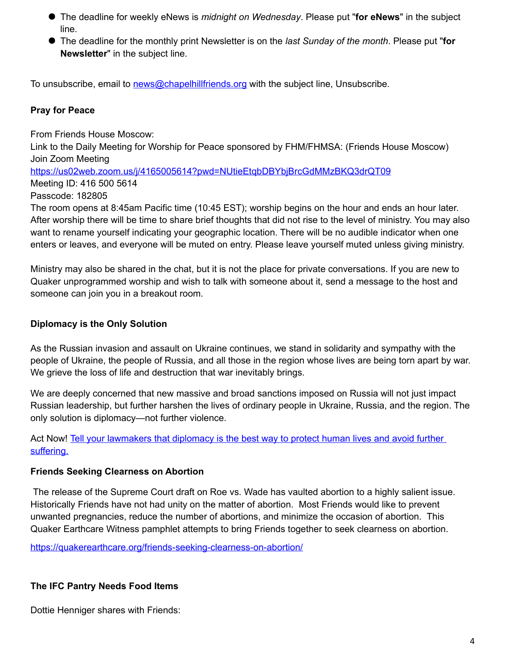- The deadline for weekly eNews is *midnight on Wednesday*. Please put "**for eNews**" in the subject line.
- The deadline for the monthly print Newsletter is on the *last Sunday of the month*. Please put "**for Newsletter**" in the subject line.

To unsubscribe, email to [news@chapelhillfriends.org](mailto:news@chapelhillfriends.org) with the subject line, Unsubscribe.

## **Pray for Peace**

From Friends House Moscow: Link to the Daily Meeting for Worship for Peace sponsored by FHM/FHMSA: (Friends House Moscow) Join Zoom Meeting <https://us02web.zoom.us/j/4165005614?pwd=NUtieEtqbDBYbjBrcGdMMzBKQ3drQT09> Meeting ID: 416 500 5614 Passcode: 182805 The room opens at 8:45am Pacific time (10:45 EST); worship begins on the hour and ends an hour later. After worship there will be time to share brief thoughts that did not rise to the level of ministry. You may also want to rename yourself indicating your geographic location. There will be no audible indicator when one enters or leaves, and everyone will be muted on entry. Please leave yourself muted unless giving ministry.

Ministry may also be shared in the chat, but it is not the place for private conversations. If you are new to Quaker unprogrammed worship and wish to talk with someone about it, send a message to the host and someone can join you in a breakout room.

### **Diplomacy is the Only Solution**

As the Russian invasion and assault on Ukraine continues, we stand in solidarity and sympathy with the people of Ukraine, the people of Russia, and all those in the region whose lives are being torn apart by war. We grieve the loss of life and destruction that war inevitably brings.

We are deeply concerned that new massive and broad sanctions imposed on Russia will not just impact Russian leadership, but further harshen the lives of ordinary people in Ukraine, Russia, and the region. The only solution is diplomacy—not further violence.

Act Now! [Tell your lawmakers that diplomacy is the best way to protect human lives and avoid further](https://act.fcnl.org/go/122413?t=16&utm_campaign=contacts&utm_source=ak&utm_medium=email&utm_term=22510.2161.ZGpwZZ&akid=22510.2161.ZGpwZZ)  [suffering.](https://act.fcnl.org/go/122413?t=16&utm_campaign=contacts&utm_source=ak&utm_medium=email&utm_term=22510.2161.ZGpwZZ&akid=22510.2161.ZGpwZZ)

#### **Friends Seeking Clearness on Abortion**

The release of the Supreme Court draft on Roe vs. Wade has vaulted abortion to a highly salient issue. Historically Friends have not had unity on the matter of abortion. Most Friends would like to prevent unwanted pregnancies, reduce the number of abortions, and minimize the occasion of abortion. This Quaker Earthcare Witness pamphlet attempts to bring Friends together to seek clearness on abortion.

<https://quakerearthcare.org/friends-seeking-clearness-on-abortion/>

### **The IFC Pantry Needs Food Items**

Dottie Henniger shares with Friends: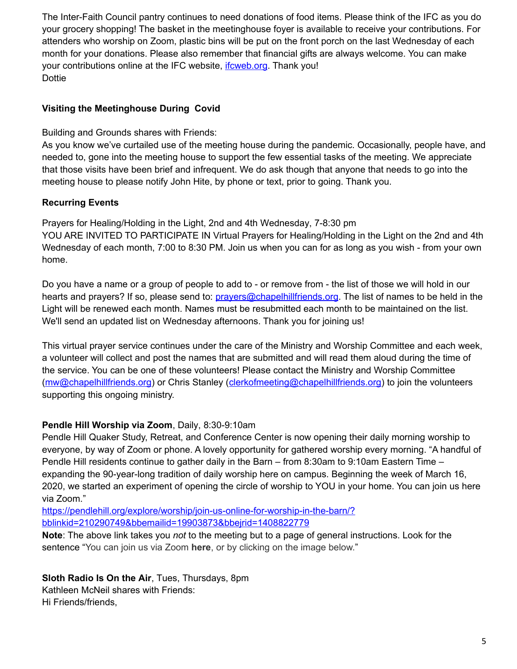The Inter-Faith Council pantry continues to need donations of food items. Please think of the IFC as you do your grocery shopping! The basket in the meetinghouse foyer is available to receive your contributions. For attenders who worship on Zoom, plastic bins will be put on the front porch on the last Wednesday of each month for your donations. Please also remember that financial gifts are always welcome. You can make your contributions online at the IFC website, *[ifcweb.org](http://ifcweb.org/)*. Thank you! **Dottie** 

## **Visiting the Meetinghouse During Covid**

Building and Grounds shares with Friends:

As you know we've curtailed use of the meeting house during the pandemic. Occasionally, people have, and needed to, gone into the meeting house to support the few essential tasks of the meeting. We appreciate that those visits have been brief and infrequent. We do ask though that anyone that needs to go into the meeting house to please notify John Hite, by phone or text, prior to going. Thank you.

## **Recurring Events**

Prayers for Healing/Holding in the Light, 2nd and 4th Wednesday, 7-8:30 pm YOU ARE INVITED TO PARTICIPATE IN Virtual Prayers for Healing/Holding in the Light on the 2nd and 4th Wednesday of each month, 7:00 to 8:30 PM. Join us when you can for as long as you wish - from your own home.

Do you have a name or a group of people to add to - or remove from - the list of those we will hold in our hearts and prayers? If so, please send to: [prayers@chapelhillfriends.org](mailto:prayers@chapelhillfriends.org). The list of names to be held in the Light will be renewed each month. Names must be resubmitted each month to be maintained on the list. We'll send an updated list on Wednesday afternoons. Thank you for joining us!

This virtual prayer service continues under the care of the Ministry and Worship Committee and each week, a volunteer will collect and post the names that are submitted and will read them aloud during the time of the service. You can be one of these volunteers! Please contact the Ministry and Worship Committee [\(mw@chapelhillfriends.org\)](mailto:mw@chapelhillfriends.org) or Chris Stanley [\(clerkofmeeting@chapelhillfriends.org\)](mailto:clerkofmeeting@chapelhillfriends.org) to join the volunteers supporting this ongoing ministry.

## **Pendle Hill Worship via Zoom**, Daily, 8:30-9:10am

Pendle Hill Quaker Study, Retreat, and Conference Center is now opening their daily morning worship to everyone, by way of Zoom or phone. A lovely opportunity for gathered worship every morning. "A handful of Pendle Hill residents continue to gather daily in the Barn – from 8:30am to 9:10am Eastern Time – expanding the 90-year-long tradition of daily worship here on campus. Beginning the week of March 16, 2020, we started an experiment of opening the circle of worship to YOU in your home. You can join us here via Zoom."

[https://pendlehill.org/explore/worship/join-us-online-for-worship-in-the-barn/?](https://pendlehill.org/explore/worship/join-us-online-for-worship-in-the-barn/?bblinkid=210290749&bbemailid=19903873&bbejrid=1408822779) [bblinkid=210290749&bbemailid=19903873&bbejrid=1408822779](https://pendlehill.org/explore/worship/join-us-online-for-worship-in-the-barn/?bblinkid=210290749&bbemailid=19903873&bbejrid=1408822779)

**Note**: The above link takes you *not* to the meeting but to a page of general instructions. Look for the sentence "You can join us via Zoom **here**, or by clicking on the image below."

## **Sloth Radio Is On the Air**, Tues, Thursdays, 8pm

Kathleen McNeil shares with Friends: Hi Friends/friends,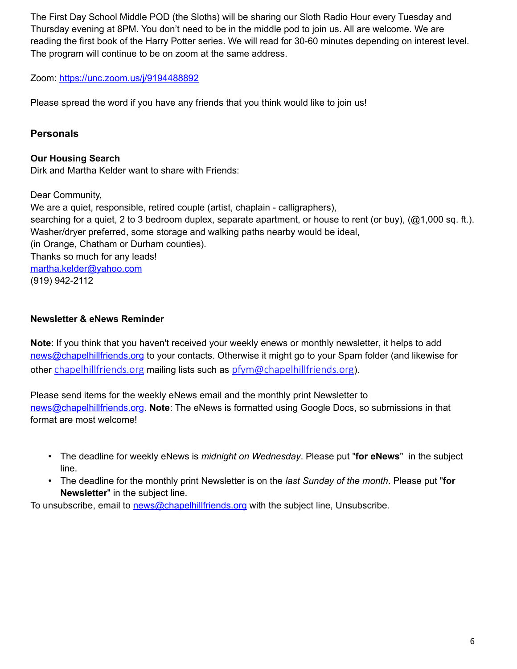The First Day School Middle POD (the Sloths) will be sharing our Sloth Radio Hour every Tuesday and Thursday evening at 8PM. You don't need to be in the middle pod to join us. All are welcome. We are reading the first book of the Harry Potter series. We will read for 30-60 minutes depending on interest level. The program will continue to be on zoom at the same address.

### Zoom:<https://unc.zoom.us/j/9194488892>

Please spread the word if you have any friends that you think would like to join us!

### **Personals**

**Our Housing Search** Dirk and Martha Kelder want to share with Friends:

Dear Community,

We are a quiet, responsible, retired couple (artist, chaplain - calligraphers), searching for a quiet, 2 to 3 bedroom duplex, separate apartment, or house to rent (or buy), (@1,000 sq. ft.). Washer/dryer preferred, some storage and walking paths nearby would be ideal, (in Orange, Chatham or Durham counties). Thanks so much for any leads! [martha.kelder@yahoo.com](mailto:martha.kelder@yahoo.com) (919) 942-2112

#### **Newsletter & eNews Reminder**

**Note**: If you think that you haven't received your weekly enews or monthly newsletter, it helps to add [news@chapelhillfriends.org](mailto:news@chapelhillfriends.org) to your contacts. Otherwise it might go to your Spam folder (and likewise for other [chapelhillfriends.org](http://chapelhillfriends.org/) mailing lists such as [pfym@chapelhillfriends.org](mailto:pfym@chapelhillfriends.org)).

Please send items for the weekly eNews email and the monthly print Newsletter to [news@chapelhillfriends.org.](mailto:news@chapelhillfriends.org) **Note**: The eNews is formatted using Google Docs, so submissions in that format are most welcome!

- The deadline for weekly eNews is *midnight on Wednesday*. Please put "**for eNews**" in the subject line.
- The deadline for the monthly print Newsletter is on the *last Sunday of the month*. Please put "**for Newsletter**" in the subject line.

To unsubscribe, email to [news@chapelhillfriends.org](mailto:news@chapelhillfriends.org) with the subject line, Unsubscribe.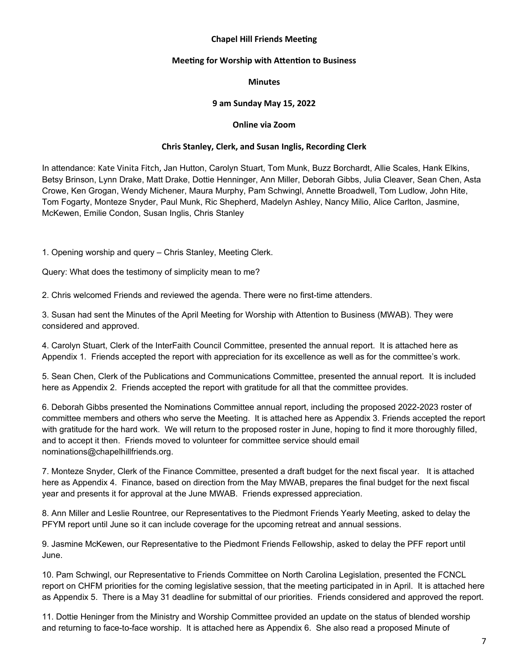#### **Chapel Hill Friends Meeting**

#### **Meeting for Worship with Attention to Business**

#### **Minutes**

#### **9 am Sunday May 15, 2022**

#### **Online via Zoom**

#### **Chris Stanley, Clerk, and Susan Inglis, Recording Clerk**

In attendance: Kate Vinita Fitch, Jan Hutton, Carolyn Stuart, Tom Munk, Buzz Borchardt, Allie Scales, Hank Elkins, Betsy Brinson, Lynn Drake, Matt Drake, Dottie Henninger, Ann Miller, Deborah Gibbs, Julia Cleaver, Sean Chen, Asta Crowe, Ken Grogan, Wendy Michener, Maura Murphy, Pam Schwingl, Annette Broadwell, Tom Ludlow, John Hite, Tom Fogarty, Monteze Snyder, Paul Munk, Ric Shepherd, Madelyn Ashley, Nancy Milio, Alice Carlton, Jasmine, McKewen, Emilie Condon, Susan Inglis, Chris Stanley

1. Opening worship and query – Chris Stanley, Meeting Clerk.

Query: What does the testimony of simplicity mean to me?

2. Chris welcomed Friends and reviewed the agenda. There were no first-time attenders.

3. Susan had sent the Minutes of the April Meeting for Worship with Attention to Business (MWAB). They were considered and approved.

4. Carolyn Stuart, Clerk of the InterFaith Council Committee, presented the annual report. It is attached here as Appendix 1. Friends accepted the report with appreciation for its excellence as well as for the committee's work.

5. Sean Chen, Clerk of the Publications and Communications Committee, presented the annual report. It is included here as Appendix 2. Friends accepted the report with gratitude for all that the committee provides.

6. Deborah Gibbs presented the Nominations Committee annual report, including the proposed 2022-2023 roster of committee members and others who serve the Meeting. It is attached here as Appendix 3. Friends accepted the report with gratitude for the hard work. We will return to the proposed roster in June, hoping to find it more thoroughly filled, and to accept it then. Friends moved to volunteer for committee service should email nominations@chapelhillfriends.org.

7. Monteze Snyder, Clerk of the Finance Committee, presented a draft budget for the next fiscal year. It is attached here as Appendix 4. Finance, based on direction from the May MWAB, prepares the final budget for the next fiscal year and presents it for approval at the June MWAB. Friends expressed appreciation.

8. Ann Miller and Leslie Rountree, our Representatives to the Piedmont Friends Yearly Meeting, asked to delay the PFYM report until June so it can include coverage for the upcoming retreat and annual sessions.

9. Jasmine McKewen, our Representative to the Piedmont Friends Fellowship, asked to delay the PFF report until June.

10. Pam Schwingl, our Representative to Friends Committee on North Carolina Legislation, presented the FCNCL report on CHFM priorities for the coming legislative session, that the meeting participated in in April. It is attached here as Appendix 5. There is a May 31 deadline for submittal of our priorities. Friends considered and approved the report.

11. Dottie Heninger from the Ministry and Worship Committee provided an update on the status of blended worship and returning to face-to-face worship. It is attached here as Appendix 6. She also read a proposed Minute of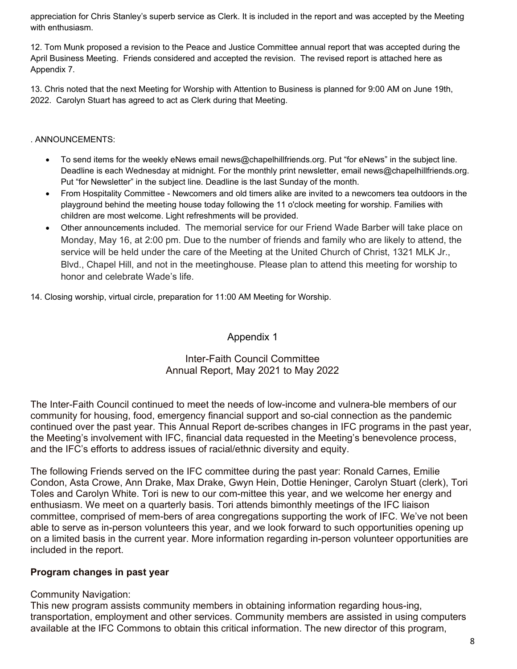appreciation for Chris Stanley's superb service as Clerk. It is included in the report and was accepted by the Meeting with enthusiasm.

12. Tom Munk proposed a revision to the Peace and Justice Committee annual report that was accepted during the April Business Meeting. Friends considered and accepted the revision. The revised report is attached here as Appendix 7.

13. Chris noted that the next Meeting for Worship with Attention to Business is planned for 9:00 AM on June 19th, 2022. Carolyn Stuart has agreed to act as Clerk during that Meeting.

#### . ANNOUNCEMENTS:

- To send items for the weekly eNews email news@chapelhillfriends.org. Put "for eNews" in the subject line. Deadline is each Wednesday at midnight. For the monthly print newsletter, email news@chapelhillfriends.org. Put "for Newsletter" in the subject line. Deadline is the last Sunday of the month.
- From Hospitality Committee Newcomers and old timers alike are invited to a newcomers tea outdoors in the playground behind the meeting house today following the 11 o'clock meeting for worship. Families with children are most welcome. Light refreshments will be provided.
- Other announcements included. The memorial service for our Friend Wade Barber will take place on Monday, May 16, at 2:00 pm. Due to the number of friends and family who are likely to attend, the service will be held under the care of the Meeting at the United Church of Christ, 1321 MLK Jr., Blvd., Chapel Hill, and not in the meetinghouse. Please plan to attend this meeting for worship to honor and celebrate Wade's life.

14. Closing worship, virtual circle, preparation for 11:00 AM Meeting for Worship.

### Appendix 1

### Inter-Faith Council Committee Annual Report, May 2021 to May 2022

The Inter-Faith Council continued to meet the needs of low-income and vulnera-ble members of our community for housing, food, emergency financial support and so-cial connection as the pandemic continued over the past year. This Annual Report de-scribes changes in IFC programs in the past year, the Meeting's involvement with IFC, financial data requested in the Meeting's benevolence process, and the IFC's efforts to address issues of racial/ethnic diversity and equity.

The following Friends served on the IFC committee during the past year: Ronald Carnes, Emilie Condon, Asta Crowe, Ann Drake, Max Drake, Gwyn Hein, Dottie Heninger, Carolyn Stuart (clerk), Tori Toles and Carolyn White. Tori is new to our com-mittee this year, and we welcome her energy and enthusiasm. We meet on a quarterly basis. Tori attends bimonthly meetings of the IFC liaison committee, comprised of mem-bers of area congregations supporting the work of IFC. We've not been able to serve as in-person volunteers this year, and we look forward to such opportunities opening up on a limited basis in the current year. More information regarding in-person volunteer opportunities are included in the report.

### **Program changes in past year**

### Community Navigation:

This new program assists community members in obtaining information regarding hous-ing, transportation, employment and other services. Community members are assisted in using computers available at the IFC Commons to obtain this critical information. The new director of this program,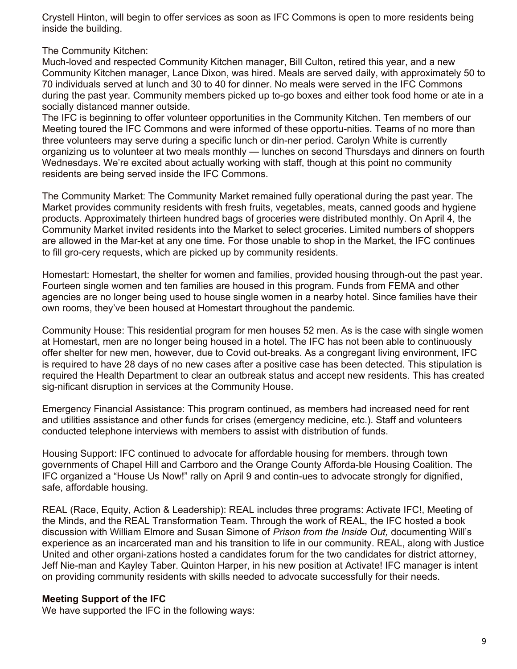Crystell Hinton, will begin to offer services as soon as IFC Commons is open to more residents being inside the building.

The Community Kitchen:

Much-loved and respected Community Kitchen manager, Bill Culton, retired this year, and a new Community Kitchen manager, Lance Dixon, was hired. Meals are served daily, with approximately 50 to 70 individuals served at lunch and 30 to 40 for dinner. No meals were served in the IFC Commons during the past year. Community members picked up to-go boxes and either took food home or ate in a socially distanced manner outside.

The IFC is beginning to offer volunteer opportunities in the Community Kitchen. Ten members of our Meeting toured the IFC Commons and were informed of these opportu-nities. Teams of no more than three volunteers may serve during a specific lunch or din-ner period. Carolyn White is currently organizing us to volunteer at two meals monthly — lunches on second Thursdays and dinners on fourth Wednesdays. We're excited about actually working with staff, though at this point no community residents are being served inside the IFC Commons.

The Community Market: The Community Market remained fully operational during the past year. The Market provides community residents with fresh fruits, vegetables, meats, canned goods and hygiene products. Approximately thirteen hundred bags of groceries were distributed monthly. On April 4, the Community Market invited residents into the Market to select groceries. Limited numbers of shoppers are allowed in the Mar-ket at any one time. For those unable to shop in the Market, the IFC continues to fill gro-cery requests, which are picked up by community residents.

Homestart: Homestart, the shelter for women and families, provided housing through-out the past year. Fourteen single women and ten families are housed in this program. Funds from FEMA and other agencies are no longer being used to house single women in a nearby hotel. Since families have their own rooms, they've been housed at Homestart throughout the pandemic.

Community House: This residential program for men houses 52 men. As is the case with single women at Homestart, men are no longer being housed in a hotel. The IFC has not been able to continuously offer shelter for new men, however, due to Covid out-breaks. As a congregant living environment, IFC is required to have 28 days of no new cases after a positive case has been detected. This stipulation is required the Health Department to clear an outbreak status and accept new residents. This has created sig-nificant disruption in services at the Community House.

Emergency Financial Assistance: This program continued, as members had increased need for rent and utilities assistance and other funds for crises (emergency medicine, etc.). Staff and volunteers conducted telephone interviews with members to assist with distribution of funds.

Housing Support: IFC continued to advocate for affordable housing for members. through town governments of Chapel Hill and Carrboro and the Orange County Afforda-ble Housing Coalition. The IFC organized a "House Us Now!" rally on April 9 and contin-ues to advocate strongly for dignified, safe, affordable housing.

REAL (Race, Equity, Action & Leadership): REAL includes three programs: Activate IFC!, Meeting of the Minds, and the REAL Transformation Team. Through the work of REAL, the IFC hosted a book discussion with William Elmore and Susan Simone of *Prison from the Inside Out,* documenting Will's experience as an incarcerated man and his transition to life in our community. REAL, along with Justice United and other organi-zations hosted a candidates forum for the two candidates for district attorney, Jeff Nie-man and Kayley Taber. Quinton Harper, in his new position at Activate! IFC manager is intent on providing community residents with skills needed to advocate successfully for their needs.

### **Meeting Support of the IFC**

We have supported the IFC in the following ways: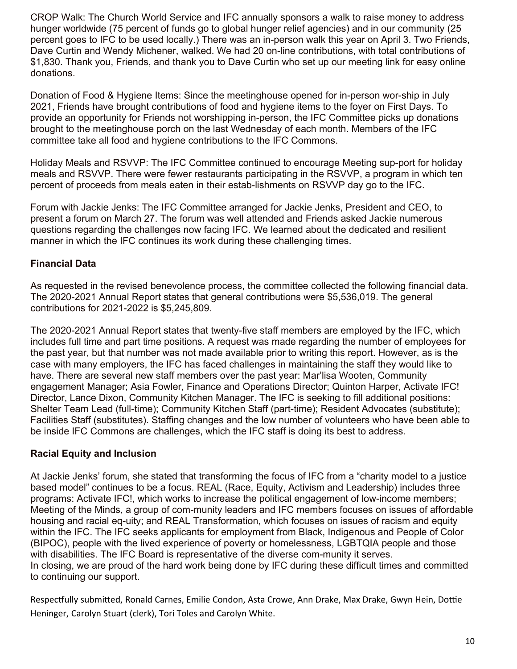CROP Walk: The Church World Service and IFC annually sponsors a walk to raise money to address hunger worldwide (75 percent of funds go to global hunger relief agencies) and in our community (25 percent goes to IFC to be used locally.) There was an in-person walk this year on April 3. Two Friends, Dave Curtin and Wendy Michener, walked. We had 20 on-line contributions, with total contributions of \$1,830. Thank you, Friends, and thank you to Dave Curtin who set up our meeting link for easy online donations.

Donation of Food & Hygiene Items: Since the meetinghouse opened for in-person wor-ship in July 2021, Friends have brought contributions of food and hygiene items to the foyer on First Days. To provide an opportunity for Friends not worshipping in-person, the IFC Committee picks up donations brought to the meetinghouse porch on the last Wednesday of each month. Members of the IFC committee take all food and hygiene contributions to the IFC Commons.

Holiday Meals and RSVVP: The IFC Committee continued to encourage Meeting sup-port for holiday meals and RSVVP. There were fewer restaurants participating in the RSVVP, a program in which ten percent of proceeds from meals eaten in their estab-lishments on RSVVP day go to the IFC.

Forum with Jackie Jenks: The IFC Committee arranged for Jackie Jenks, President and CEO, to present a forum on March 27. The forum was well attended and Friends asked Jackie numerous questions regarding the challenges now facing IFC. We learned about the dedicated and resilient manner in which the IFC continues its work during these challenging times.

## **Financial Data**

As requested in the revised benevolence process, the committee collected the following financial data. The 2020-2021 Annual Report states that general contributions were \$5,536,019. The general contributions for 2021-2022 is \$5,245,809.

The 2020-2021 Annual Report states that twenty-five staff members are employed by the IFC, which includes full time and part time positions. A request was made regarding the number of employees for the past year, but that number was not made available prior to writing this report. However, as is the case with many employers, the IFC has faced challenges in maintaining the staff they would like to have. There are several new staff members over the past year: Mar'lisa Wooten, Community engagement Manager; Asia Fowler, Finance and Operations Director; Quinton Harper, Activate IFC! Director, Lance Dixon, Community Kitchen Manager. The IFC is seeking to fill additional positions: Shelter Team Lead (full-time); Community Kitchen Staff (part-time); Resident Advocates (substitute); Facilities Staff (substitutes). Staffing changes and the low number of volunteers who have been able to be inside IFC Commons are challenges, which the IFC staff is doing its best to address.

## **Racial Equity and Inclusion**

At Jackie Jenks' forum, she stated that transforming the focus of IFC from a "charity model to a justice based model" continues to be a focus. REAL (Race, Equity, Activism and Leadership) includes three programs: Activate IFC!, which works to increase the political engagement of low-income members; Meeting of the Minds, a group of com-munity leaders and IFC members focuses on issues of affordable housing and racial eq-uity; and REAL Transformation, which focuses on issues of racism and equity within the IFC. The IFC seeks applicants for employment from Black, Indigenous and People of Color (BIPOC), people with the lived experience of poverty or homelessness, LGBTQIA people and those with disabilities. The IFC Board is representative of the diverse com-munity it serves. In closing, we are proud of the hard work being done by IFC during these difficult times and committed to continuing our support.

Respectfully submitted, Ronald Carnes, Emilie Condon, Asta Crowe, Ann Drake, Max Drake, Gwyn Hein, Dottie Heninger, Carolyn Stuart (clerk), Tori Toles and Carolyn White.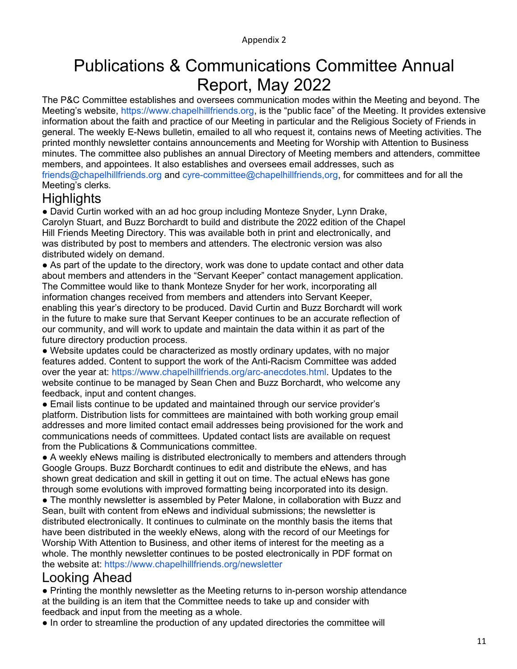# Publications & Communications Committee Annual Report, May 2022

The P&C Committee establishes and oversees communication modes within the Meeting and beyond. The Meeting's website, https://www.chapelhillfriends.org, is the "public face" of the Meeting. It provides extensive information about the faith and practice of our Meeting in particular and the Religious Society of Friends in general. The weekly E-News bulletin, emailed to all who request it, contains news of Meeting activities. The printed monthly newsletter contains announcements and Meeting for Worship with Attention to Business minutes. The committee also publishes an annual Directory of Meeting members and attenders, committee members, and appointees. It also establishes and oversees email addresses, such as friends@chapelhillfriends.org and cyre-committee@chapelhillfriends,org, for committees and for all the Meeting's clerks.

## **Highlights**

● David Curtin worked with an ad hoc group including Monteze Snyder, Lynn Drake, Carolyn Stuart, and Buzz Borchardt to build and distribute the 2022 edition of the Chapel Hill Friends Meeting Directory. This was available both in print and electronically, and was distributed by post to members and attenders. The electronic version was also distributed widely on demand.

• As part of the update to the directory, work was done to update contact and other data about members and attenders in the "Servant Keeper" contact management application. The Committee would like to thank Monteze Snyder for her work, incorporating all information changes received from members and attenders into Servant Keeper, enabling this year's directory to be produced. David Curtin and Buzz Borchardt will work in the future to make sure that Servant Keeper continues to be an accurate reflection of our community, and will work to update and maintain the data within it as part of the future directory production process.

● Website updates could be characterized as mostly ordinary updates, with no major features added. Content to support the work of the Anti-Racism Committee was added over the year at: https://www.chapelhillfriends.org/arc-anecdotes.html. Updates to the website continue to be managed by Sean Chen and Buzz Borchardt, who welcome any feedback, input and content changes.

● Email lists continue to be updated and maintained through our service provider's platform. Distribution lists for committees are maintained with both working group email addresses and more limited contact email addresses being provisioned for the work and communications needs of committees. Updated contact lists are available on request from the Publications & Communications committee.

● A weekly eNews mailing is distributed electronically to members and attenders through Google Groups. Buzz Borchardt continues to edit and distribute the eNews, and has shown great dedication and skill in getting it out on time. The actual eNews has gone through some evolutions with improved formatting being incorporated into its design.

• The monthly newsletter is assembled by Peter Malone, in collaboration with Buzz and Sean, built with content from eNews and individual submissions; the newsletter is distributed electronically. It continues to culminate on the monthly basis the items that have been distributed in the weekly eNews, along with the record of our Meetings for Worship With Attention to Business, and other items of interest for the meeting as a whole. The monthly newsletter continues to be posted electronically in PDF format on the website at: https://www.chapelhillfriends.org/newsletter

## Looking Ahead

● Printing the monthly newsletter as the Meeting returns to in-person worship attendance at the building is an item that the Committee needs to take up and consider with feedback and input from the meeting as a whole.

● In order to streamline the production of any updated directories the committee will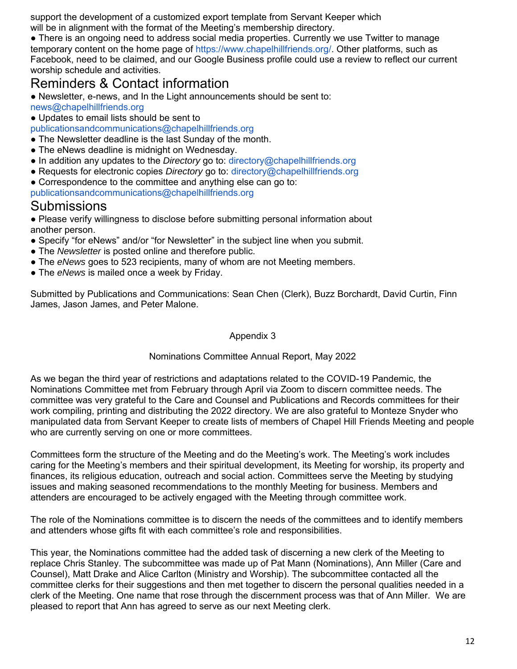support the development of a customized export template from Servant Keeper which will be in alignment with the format of the Meeting's membership directory.

● There is an ongoing need to address social media properties. Currently we use Twitter to manage temporary content on the home page of https://www.chapelhillfriends.org/. Other platforms, such as Facebook, need to be claimed, and our Google Business profile could use a review to reflect our current worship schedule and activities.

## Reminders & Contact information

● Newsletter, e-news, and In the Light announcements should be sent to:

- news@chapelhillfriends.org
- Updates to email lists should be sent to

publicationsandcommunications@chapelhillfriends.org

- The Newsletter deadline is the last Sunday of the month.
- The eNews deadline is midnight on Wednesday.
- In addition any updates to the *Directory* go to: directory@chapelhillfriends.org
- Requests for electronic copies *Directory* go to: directory@chapelhillfriends.org
- Correspondence to the committee and anything else can go to:
- publicationsandcommunications@chapelhillfriends.org

## Submissions

● Please verify willingness to disclose before submitting personal information about another person.

- Specify "for eNews" and/or "for Newsletter" in the subject line when you submit.
- The *Newsletter* is posted online and therefore public.
- The *eNews* goes to 523 recipients, many of whom are not Meeting members.
- The *eNews* is mailed once a week by Friday.

Submitted by Publications and Communications: Sean Chen (Clerk), Buzz Borchardt, David Curtin, Finn James, Jason James, and Peter Malone.

#### Appendix 3

#### Nominations Committee Annual Report, May 2022

As we began the third year of restrictions and adaptations related to the COVID-19 Pandemic, the Nominations Committee met from February through April via Zoom to discern committee needs. The committee was very grateful to the Care and Counsel and Publications and Records committees for their work compiling, printing and distributing the 2022 directory. We are also grateful to Monteze Snyder who manipulated data from Servant Keeper to create lists of members of Chapel Hill Friends Meeting and people who are currently serving on one or more committees.

Committees form the structure of the Meeting and do the Meeting's work. The Meeting's work includes caring for the Meeting's members and their spiritual development, its Meeting for worship, its property and finances, its religious education, outreach and social action. Committees serve the Meeting by studying issues and making seasoned recommendations to the monthly Meeting for business. Members and attenders are encouraged to be actively engaged with the Meeting through committee work.

The role of the Nominations committee is to discern the needs of the committees and to identify members and attenders whose gifts fit with each committee's role and responsibilities.

This year, the Nominations committee had the added task of discerning a new clerk of the Meeting to replace Chris Stanley. The subcommittee was made up of Pat Mann (Nominations), Ann Miller (Care and Counsel), Matt Drake and Alice Carlton (Ministry and Worship). The subcommittee contacted all the committee clerks for their suggestions and then met together to discern the personal qualities needed in a clerk of the Meeting. One name that rose through the discernment process was that of Ann Miller. We are pleased to report that Ann has agreed to serve as our next Meeting clerk.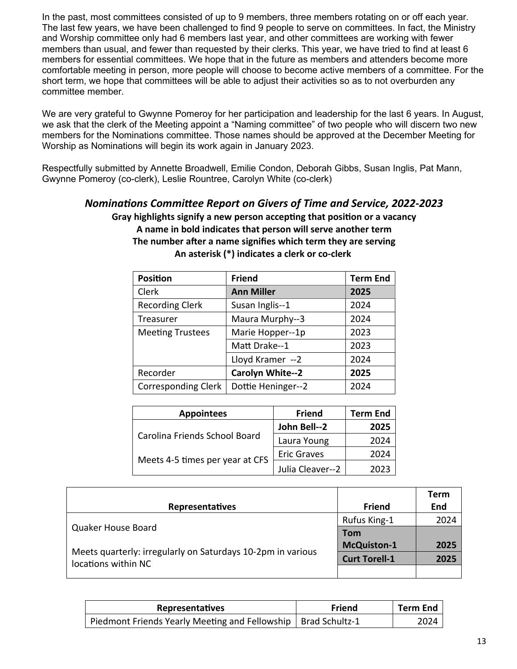In the past, most committees consisted of up to 9 members, three members rotating on or off each year. The last few years, we have been challenged to find 9 people to serve on committees. In fact, the Ministry and Worship committee only had 6 members last year, and other committees are working with fewer members than usual, and fewer than requested by their clerks. This year, we have tried to find at least 6 members for essential committees. We hope that in the future as members and attenders become more comfortable meeting in person, more people will choose to become active members of a committee. For the short term, we hope that committees will be able to adjust their activities so as to not overburden any committee member.

We are very grateful to Gwynne Pomeroy for her participation and leadership for the last 6 years. In August, we ask that the clerk of the Meeting appoint a "Naming committee" of two people who will discern two new members for the Nominations committee. Those names should be approved at the December Meeting for Worship as Nominations will begin its work again in January 2023.

Respectfully submitted by Annette Broadwell, Emilie Condon, Deborah Gibbs, Susan Inglis, Pat Mann, Gwynne Pomeroy (co-clerk), Leslie Rountree, Carolyn White (co-clerk)

## *Nominations Committee Report on Givers of Time and Service, 2022-2023* **Gray highlights signify a new person accepting that position or a vacancy A name in bold indicates that person will serve another term The number after a name signifies which term they are serving An asterisk (\*) indicates a clerk or co-clerk**

| <b>Position</b>            | <b>Friend</b>           | <b>Term End</b> |
|----------------------------|-------------------------|-----------------|
| Clerk                      | <b>Ann Miller</b>       | 2025            |
| <b>Recording Clerk</b>     | Susan Inglis--1         | 2024            |
| <b>Treasurer</b>           | Maura Murphy--3         | 2024            |
| <b>Meeting Trustees</b>    | Marie Hopper--1p        | 2023            |
|                            | Matt Drake--1           | 2023            |
|                            | Lloyd Kramer -- 2       | 2024            |
| Recorder                   | <b>Carolyn White--2</b> | 2025            |
| <b>Corresponding Clerk</b> | Dottie Heninger--2      | 2024            |

| <b>Appointees</b>               | <b>Friend</b>      | <b>Term End</b> |
|---------------------------------|--------------------|-----------------|
|                                 | John Bell--2       | 2025            |
| Carolina Friends School Board   | Laura Young        | 2024            |
| Meets 4-5 times per year at CFS | <b>Eric Graves</b> | 2024            |
|                                 | Julia Cleaver--2   | 2023            |

|                                                                                    |                      | Term |
|------------------------------------------------------------------------------------|----------------------|------|
| <b>Representatives</b>                                                             | <b>Friend</b>        | End  |
|                                                                                    | Rufus King-1         | 2024 |
| Quaker House Board                                                                 | <b>Tom</b>           |      |
|                                                                                    | <b>McQuiston-1</b>   | 2025 |
| Meets quarterly: irregularly on Saturdays 10-2pm in various<br>locations within NC | <b>Curt Torell-1</b> | 2025 |
|                                                                                    |                      |      |

| <b>Representatives</b>                                          | Friend | <b>Term End</b> |
|-----------------------------------------------------------------|--------|-----------------|
| Piedmont Friends Yearly Meeting and Fellowship   Brad Schultz-1 |        | 2024            |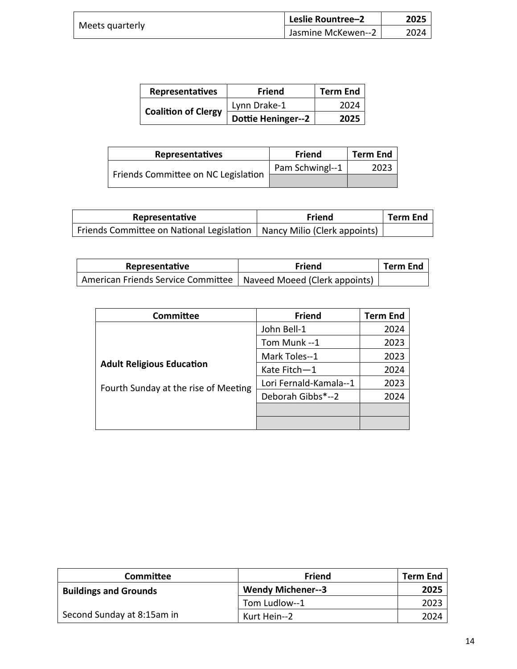| Meets quarterly | Leslie Rountree-2  | 2025 |
|-----------------|--------------------|------|
|                 | Jasmine McKewen--2 | 2024 |

| Representatives            | <b>Friend</b>             | <b>Term End</b> |
|----------------------------|---------------------------|-----------------|
|                            | Lynn Drake-1              | 2024            |
| <b>Coalition of Clergy</b> | <b>Dottie Heninger--2</b> | 2025            |

| <b>Representatives</b>              | Friend          | <b>Term End</b> |
|-------------------------------------|-----------------|-----------------|
|                                     | Pam Schwingl--1 | 2023            |
| Friends Committee on NC Legislation |                 |                 |

| Representative                                                           | Friend | <b>Term End</b> |
|--------------------------------------------------------------------------|--------|-----------------|
| Friends Committee on National Legislation   Nancy Milio (Clerk appoints) |        |                 |

| Representative                                                       | Friend | <b>Term End</b> |
|----------------------------------------------------------------------|--------|-----------------|
| American Friends Service Committee   Naveed Moeed (Clerk appoints) ' |        |                 |

| Committee                            | <b>Friend</b>          | <b>Term End</b> |
|--------------------------------------|------------------------|-----------------|
|                                      | John Bell-1            | 2024            |
|                                      | Tom Munk --1           | 2023            |
|                                      | Mark Toles--1          | 2023            |
| <b>Adult Religious Education</b>     | Kate Fitch-1           | 2024            |
| Fourth Sunday at the rise of Meeting | Lori Fernald-Kamala--1 | 2023            |
|                                      | Deborah Gibbs*--2      | 2024            |
|                                      |                        |                 |
|                                      |                        |                 |

| <b>Committee</b>             | <b>Friend</b>            | <b>Term End</b> |
|------------------------------|--------------------------|-----------------|
| <b>Buildings and Grounds</b> | <b>Wendy Michener--3</b> | 2025            |
|                              | Tom Ludlow--1            | 2023            |
| Second Sunday at 8:15am in   | Kurt Hein--2             | 2024            |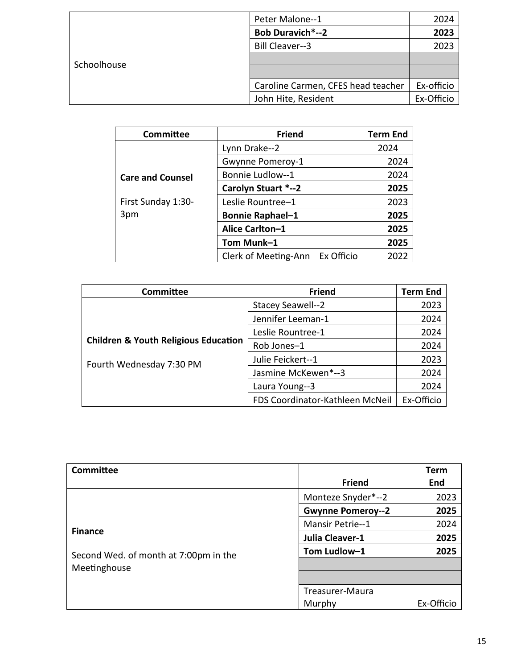|             | Peter Malone--1                    | 2024       |
|-------------|------------------------------------|------------|
|             | <b>Bob Duravich*--2</b>            | 2023       |
|             | <b>Bill Cleaver--3</b>             | 2023       |
| Schoolhouse |                                    |            |
|             |                                    |            |
|             | Caroline Carmen, CFES head teacher | Ex-officio |
|             | John Hite, Resident                | Ex-Officio |

| <b>Committee</b>        | <b>Friend</b>                   | <b>Term End</b> |
|-------------------------|---------------------------------|-----------------|
|                         | Lynn Drake--2                   | 2024            |
|                         | Gwynne Pomeroy-1                | 2024            |
| <b>Care and Counsel</b> | Bonnie Ludlow--1                | 2024            |
|                         | Carolyn Stuart *--2             | 2025            |
| First Sunday 1:30-      | Leslie Rountree-1               | 2023            |
| 3pm                     | <b>Bonnie Raphael-1</b>         | 2025            |
|                         | Alice Carlton-1                 | 2025            |
|                         | Tom Munk-1                      | 2025            |
|                         | Clerk of Meeting-Ann Ex Officio | 2022            |

| Committee                                       | <b>Friend</b>                   | <b>Term End</b> |
|-------------------------------------------------|---------------------------------|-----------------|
|                                                 | Stacey Seawell--2               | 2023            |
|                                                 | Jennifer Leeman-1               | 2024            |
|                                                 | Leslie Rountree-1               | 2024            |
| <b>Children &amp; Youth Religious Education</b> | Rob Jones-1                     | 2024            |
| Fourth Wednesday 7:30 PM                        | Julie Feickert--1               | 2023            |
|                                                 | Jasmine McKewen*--3             | 2024            |
|                                                 | Laura Young--3                  | 2024            |
|                                                 | FDS Coordinator-Kathleen McNeil | Ex-Officio      |

| <b>Committee</b>                      |                          | Term       |
|---------------------------------------|--------------------------|------------|
|                                       | <b>Friend</b>            | End        |
|                                       | Monteze Snyder*--2       | 2023       |
|                                       | <b>Gwynne Pomeroy--2</b> | 2025       |
|                                       | <b>Mansir Petrie--1</b>  | 2024       |
| <b>Finance</b>                        | Julia Cleaver-1          | 2025       |
| Second Wed. of month at 7:00pm in the | Tom Ludlow-1             | 2025       |
| Meetinghouse                          |                          |            |
|                                       |                          |            |
|                                       | Treasurer-Maura          |            |
|                                       | Murphy                   | Ex-Officio |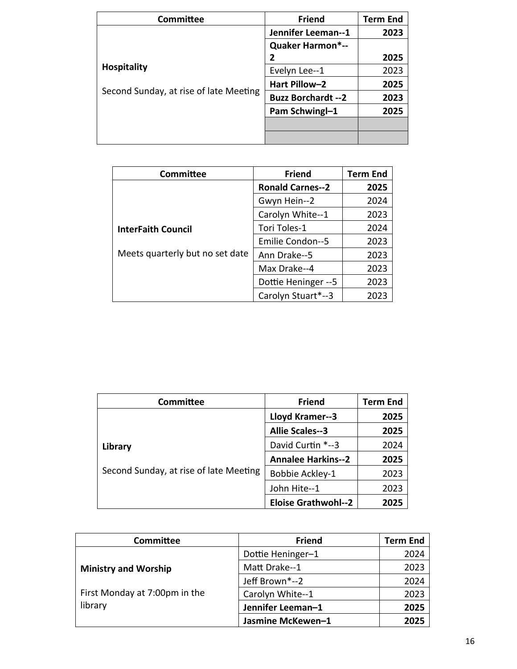| Committee                                                    | <b>Friend</b>              | <b>Term End</b> |
|--------------------------------------------------------------|----------------------------|-----------------|
|                                                              | Jennifer Leeman--1         | 2023            |
| <b>Hospitality</b><br>Second Sunday, at rise of late Meeting | <b>Quaker Harmon*--</b>    |                 |
|                                                              | 2                          | 2025            |
|                                                              | Evelyn Lee--1              | 2023            |
|                                                              | Hart Pillow-2              | 2025            |
|                                                              | <b>Buzz Borchardt -- 2</b> | 2023            |
|                                                              | Pam Schwingl-1             | 2025            |
|                                                              |                            |                 |
|                                                              |                            |                 |

| Committee                       | <b>Friend</b>           | <b>Term End</b> |
|---------------------------------|-------------------------|-----------------|
|                                 | <b>Ronald Carnes--2</b> | 2025            |
|                                 | Gwyn Hein--2            | 2024            |
|                                 | Carolyn White--1        | 2023            |
| <b>InterFaith Council</b>       | Tori Toles-1            | 2024            |
| Meets quarterly but no set date | <b>Emilie Condon--5</b> | 2023            |
|                                 | Ann Drake--5            | 2023            |
|                                 | Max Drake--4            | 2023            |
|                                 | Dottie Heninger -- 5    | 2023            |
|                                 | Carolyn Stuart*--3      | 2023            |

| <b>Committee</b>                                  | <b>Friend</b>              | <b>Term End</b> |
|---------------------------------------------------|----------------------------|-----------------|
|                                                   | Lloyd Kramer--3            | 2025            |
|                                                   | <b>Allie Scales--3</b>     | 2025            |
| Library<br>Second Sunday, at rise of late Meeting | David Curtin *--3          | 2024            |
|                                                   | <b>Annalee Harkins--2</b>  | 2025            |
|                                                   | Bobbie Ackley-1            | 2023            |
|                                                   | John Hite--1               | 2023            |
|                                                   | <b>Eloise Grathwohl--2</b> | 2025            |

| Committee                     | <b>Friend</b>     | <b>Term End</b> |
|-------------------------------|-------------------|-----------------|
|                               | Dottie Heninger-1 | 2024            |
| <b>Ministry and Worship</b>   | Matt Drake--1     | 2023            |
|                               | Jeff Brown*--2    | 2024            |
| First Monday at 7:00pm in the | Carolyn White--1  | 2023            |
| library                       | Jennifer Leeman-1 | 2025            |
|                               | Jasmine McKewen-1 | 2025            |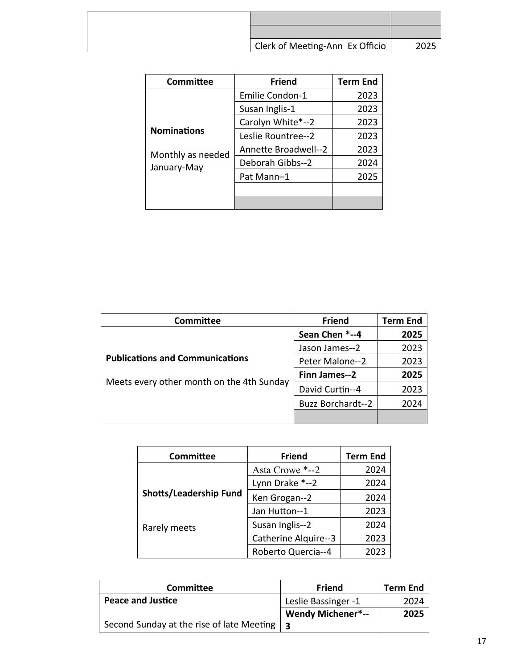| Clerk of Meeting-Ann Ex Officio | 2025 |
|---------------------------------|------|

| Committee                        | <b>Friend</b>               | <b>Term End</b> |
|----------------------------------|-----------------------------|-----------------|
|                                  | <b>Emilie Condon-1</b>      | 2023            |
|                                  | Susan Inglis-1              | 2023            |
|                                  | Carolyn White*--2           | 2023            |
| <b>Nominations</b>               | Leslie Rountree--2          | 2023            |
| Monthly as needed<br>January-May | <b>Annette Broadwell--2</b> | 2023            |
|                                  | Deborah Gibbs--2            | 2024            |
|                                  | Pat Mann-1                  | 2025            |
|                                  |                             |                 |
|                                  |                             |                 |

| <b>Committee</b>                                                                    | <b>Friend</b>            | <b>Term End</b> |
|-------------------------------------------------------------------------------------|--------------------------|-----------------|
|                                                                                     | Sean Chen *--4           | 2025            |
|                                                                                     | Jason James--2           | 2023            |
| <b>Publications and Communications</b><br>Meets every other month on the 4th Sunday | Peter Malone--2          | 2023            |
|                                                                                     | Finn James--2            | 2025            |
|                                                                                     | David Curtin--4          | 2023            |
|                                                                                     | <b>Buzz Borchardt--2</b> | 2024            |
|                                                                                     |                          |                 |

| <b>Committee</b>       | <b>Friend</b>        | <b>Term End</b> |
|------------------------|----------------------|-----------------|
|                        | Asta Crowe *--2      | 2024            |
|                        | Lynn Drake *--2      | 2024            |
| Shotts/Leadership Fund | Ken Grogan--2        | 2024            |
|                        | Jan Hutton--1        | 2023            |
| Rarely meets           | Susan Inglis--2      | 2024            |
|                        | Catherine Alquire--3 | 2023            |
|                        | Roberto Quercia--4   | 2023            |

| Committee                                 | Friend                   | <b>Term End</b> |
|-------------------------------------------|--------------------------|-----------------|
| <b>Peace and Justice</b>                  | Leslie Bassinger -1      | 2024            |
|                                           | <b>Wendy Michener*--</b> | 2025            |
| Second Sunday at the rise of late Meeting |                          |                 |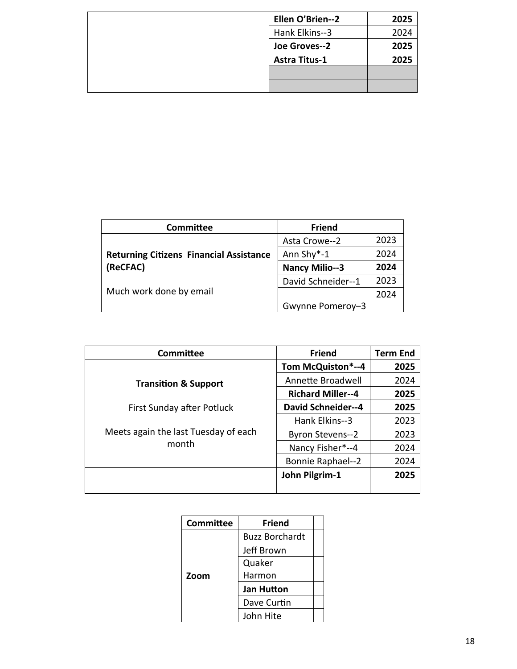| Ellen O'Brien--2     | 2025 |
|----------------------|------|
| Hank Elkins--3       | 2024 |
| Joe Groves--2        | 2025 |
| <b>Astra Titus-1</b> | 2025 |
|                      |      |
|                      |      |

| Committee                                                  | <b>Friend</b>         |      |
|------------------------------------------------------------|-----------------------|------|
| <b>Returning Citizens Financial Assistance</b><br>(ReCFAC) | Asta Crowe--2         | 2023 |
|                                                            | Ann Shy*-1            | 2024 |
|                                                            | <b>Nancy Milio--3</b> | 2024 |
| Much work done by email                                    | David Schneider--1    | 2023 |
|                                                            |                       | 2024 |
|                                                            | Gwynne Pomeroy-3      |      |

| <b>Committee</b>                              | <b>Friend</b>             | <b>Term End</b> |
|-----------------------------------------------|---------------------------|-----------------|
|                                               | Tom McQuiston*--4         | 2025            |
| <b>Transition &amp; Support</b>               | Annette Broadwell         | 2024            |
|                                               | <b>Richard Miller--4</b>  | 2025            |
| First Sunday after Potluck                    | <b>David Schneider--4</b> | 2025            |
| Meets again the last Tuesday of each<br>month | Hank Elkins--3            | 2023            |
|                                               | <b>Byron Stevens--2</b>   | 2023            |
|                                               | Nancy Fisher*--4          | 2024            |
|                                               | <b>Bonnie Raphael--2</b>  | 2024            |
|                                               | John Pilgrim-1            | 2025            |
|                                               |                           |                 |

| <b>Committee</b> | Friend                |  |
|------------------|-----------------------|--|
|                  | <b>Buzz Borchardt</b> |  |
|                  | Jeff Brown            |  |
| Zoom             | Quaker                |  |
|                  | Harmon                |  |
|                  | Jan Hutton            |  |
|                  | Dave Curtin           |  |
|                  | John Hite             |  |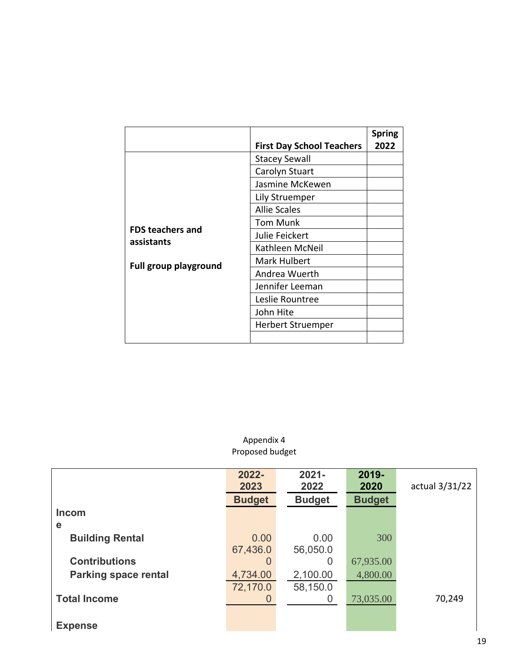|                                                                | <b>First Day School Teachers</b> | <b>Spring</b><br>2022 |
|----------------------------------------------------------------|----------------------------------|-----------------------|
|                                                                | <b>Stacey Sewall</b>             |                       |
|                                                                | Carolyn Stuart                   |                       |
|                                                                | Jasmine McKewen                  |                       |
|                                                                | Lily Struemper                   |                       |
|                                                                | <b>Allie Scales</b>              |                       |
|                                                                | Tom Munk                         |                       |
| <b>FDS teachers and</b><br>assistants<br>Full group playground | Julie Feickert                   |                       |
|                                                                | Kathleen McNeil                  |                       |
|                                                                | Mark Hulbert                     |                       |
|                                                                | Andrea Wuerth                    |                       |
|                                                                | Jennifer Leeman                  |                       |
|                                                                | Leslie Rountree                  |                       |
|                                                                | John Hite                        |                       |
|                                                                | Herbert Struemper                |                       |
|                                                                |                                  |                       |

#### Appendix 4 Proposed budget

|                             | 2022-<br>2023 | $2021 -$<br>2022 | 2019-<br>2020 | actual 3/31/22 |
|-----------------------------|---------------|------------------|---------------|----------------|
|                             | <b>Budget</b> | <b>Budget</b>    | <b>Budget</b> |                |
| <b>Incom</b>                |               |                  |               |                |
| e                           |               |                  |               |                |
| <b>Building Rental</b>      | 0.00          | 0.00             | 300           |                |
|                             | 67,436.0      | 56,050.0         |               |                |
| <b>Contributions</b>        | 0             | $\Omega$         | 67,935.00     |                |
| <b>Parking space rental</b> | 4,734.00      | 2,100.00         | 4,800.00      |                |
|                             | 72,170.0      | 58,150.0         |               |                |
| <b>Total Income</b>         | 0             | O                | 73,035.00     | 70,249         |
|                             |               |                  |               |                |
| <b>Expense</b>              |               |                  |               |                |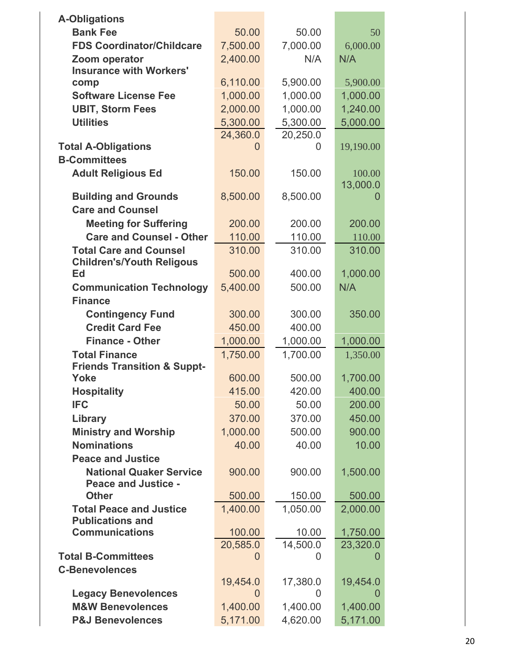| <b>A-Obligations</b>                                           |              |          |               |
|----------------------------------------------------------------|--------------|----------|---------------|
| <b>Bank Fee</b>                                                | 50.00        | 50.00    | 50            |
| <b>FDS Coordinator/Childcare</b>                               | 7,500.00     | 7,000.00 | 6,000.00      |
| Zoom operator                                                  | 2,400.00     | N/A      | N/A           |
| <b>Insurance with Workers'</b>                                 |              |          |               |
| comp                                                           | 6,110.00     | 5,900.00 | 5,900.00      |
| <b>Software License Fee</b>                                    | 1,000.00     | 1,000.00 | 1,000.00      |
| <b>UBIT, Storm Fees</b>                                        | 2,000.00     | 1,000.00 | 1,240.00      |
| <b>Utilities</b>                                               | 5,300.00     | 5,300.00 | 5,000.00      |
|                                                                | 24,360.0     | 20,250.0 |               |
| <b>Total A-Obligations</b><br><b>B-Committees</b>              | $\mathbf{I}$ | 0        | 19,190.00     |
|                                                                | 150.00       | 150.00   | 100.00        |
| <b>Adult Religious Ed</b>                                      |              |          | 13,000.0      |
| <b>Building and Grounds</b>                                    | 8,500.00     | 8,500.00 |               |
| <b>Care and Counsel</b>                                        |              |          |               |
| <b>Meeting for Suffering</b>                                   | 200.00       | 200.00   | 200.00        |
| <b>Care and Counsel - Other</b>                                | 110.00       | 110.00   | 110.00        |
| <b>Total Care and Counsel</b>                                  | 310.00       | 310.00   | 310.00        |
| <b>Children's/Youth Religous</b>                               |              |          |               |
| Ed                                                             | 500.00       | 400.00   | 1,000.00      |
| <b>Communication Technology</b>                                | 5,400.00     | 500.00   | N/A           |
| <b>Finance</b>                                                 |              |          |               |
| <b>Contingency Fund</b>                                        | 300.00       | 300.00   | 350.00        |
| <b>Credit Card Fee</b>                                         | 450.00       | 400.00   |               |
| <b>Finance - Other</b>                                         | 1,000.00     | 1,000.00 | 1,000.00      |
| <b>Total Finance</b><br><b>Friends Transition &amp; Suppt-</b> | 1,750.00     | 1,700.00 | 1,350.00      |
| Yoke                                                           | 600.00       | 500.00   | 1,700.00      |
| <b>Hospitality</b>                                             | 415.00       | 420.00   | 400.00        |
| <b>IFC</b>                                                     | 50.00        | 50.00    | 200.00        |
| Library                                                        | 370.00       | 370.00   | 450.00        |
| <b>Ministry and Worship</b>                                    | 1,000.00     | 500.00   | 900.00        |
| <b>Nominations</b>                                             | 40.00        | 40.00    | 10.00         |
| <b>Peace and Justice</b>                                       |              |          |               |
| <b>National Quaker Service</b>                                 | 900.00       | 900.00   | 1,500.00      |
| <b>Peace and Justice -</b>                                     |              |          |               |
| <b>Other</b>                                                   | 500.00       | 150.00   | 500.00        |
| <b>Total Peace and Justice</b><br><b>Publications and</b>      | 1,400.00     | 1,050.00 | 2,000.00      |
| <b>Communications</b>                                          | 100.00       | 10.00    | 1,750.00      |
|                                                                | 20,585.0     | 14,500.0 | 23,320.0      |
| <b>Total B-Committees</b>                                      | $\Omega$     | O        |               |
| <b>C-Benevolences</b>                                          |              |          |               |
|                                                                | 19,454.0     | 17,380.0 | 19,454.0      |
| <b>Legacy Benevolences</b>                                     | 0            | 0        | $\mathcal{L}$ |
| <b>M&amp;W Benevolences</b>                                    | 1,400.00     | 1,400.00 | 1,400.00      |
| <b>P&amp;J Benevolences</b>                                    | 5,171.00     | 4,620.00 | 5,171.00      |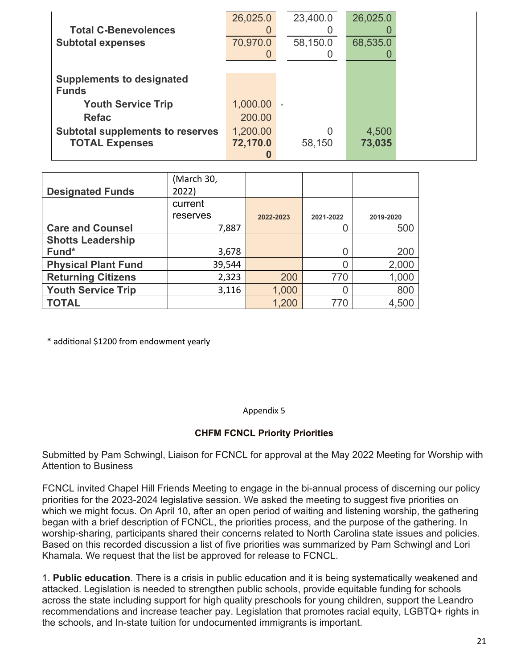|                                         | 26,025.0 | 23,400.0 | 26,025.0 |
|-----------------------------------------|----------|----------|----------|
| <b>Total C-Benevolences</b>             |          |          |          |
| <b>Subtotal expenses</b>                | 70,970.0 | 58,150.0 | 68,535.0 |
|                                         |          |          |          |
|                                         |          |          |          |
| <b>Supplements to designated</b>        |          |          |          |
| <b>Funds</b>                            |          |          |          |
| <b>Youth Service Trip</b>               | 1,000.00 | $\star$  |          |
| <b>Refac</b>                            | 200.00   |          |          |
| <b>Subtotal supplements to reserves</b> | 1,200.00 | 0        | 4,500    |
| <b>TOTAL Expenses</b>                   | 72,170.0 | 58,150   | 73,035   |
|                                         |          |          |          |

|                            | (March 30, |           |           |           |
|----------------------------|------------|-----------|-----------|-----------|
| <b>Designated Funds</b>    | 2022)      |           |           |           |
|                            | current    |           |           |           |
|                            | reserves   | 2022-2023 | 2021-2022 | 2019-2020 |
| <b>Care and Counsel</b>    | 7,887      |           |           | 500       |
| <b>Shotts Leadership</b>   |            |           |           |           |
| Fund*                      | 3,678      |           | 0         | 200       |
| <b>Physical Plant Fund</b> | 39,544     |           | 0         | 2,000     |
| <b>Returning Citizens</b>  | 2,323      | 200       | 770       | 1,000     |
| <b>Youth Service Trip</b>  | 3,116      | 1,000     | 0         | 800       |
| <b>TOTAL</b>               |            | 1,200     | 770       | 4,500     |

\* additional \$1200 from endowment yearly

Appendix 5

### **CHFM FCNCL Priority Priorities**

Submitted by Pam Schwingl, Liaison for FCNCL for approval at the May 2022 Meeting for Worship with Attention to Business

FCNCL invited Chapel Hill Friends Meeting to engage in the bi-annual process of discerning our policy priorities for the 2023-2024 legislative session. We asked the meeting to suggest five priorities on which we might focus. On April 10, after an open period of waiting and listening worship, the gathering began with a brief description of FCNCL, the priorities process, and the purpose of the gathering. In worship-sharing, participants shared their concerns related to North Carolina state issues and policies. Based on this recorded discussion a list of five priorities was summarized by Pam Schwingl and Lori Khamala. We request that the list be approved for release to FCNCL.

1. **Public education**. There is a crisis in public education and it is being systematically weakened and attacked. Legislation is needed to strengthen public schools, provide equitable funding for schools across the state including support for high quality preschools for young children, support the Leandro recommendations and increase teacher pay. Legislation that promotes racial equity, LGBTQ+ rights in the schools, and In-state tuition for undocumented immigrants is important.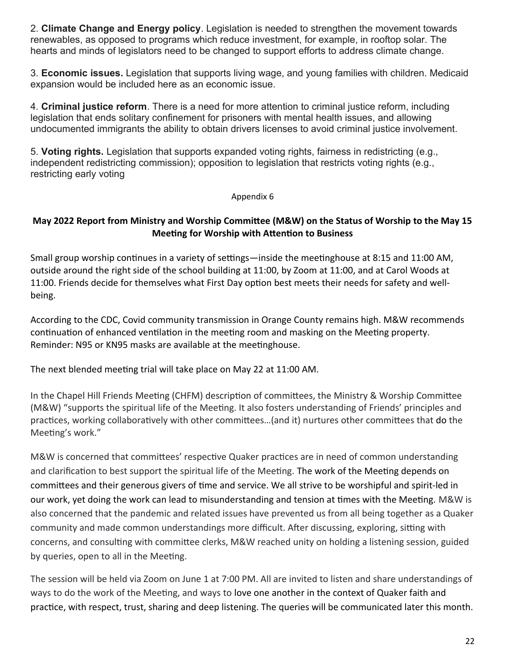2. **Climate Change and Energy policy**. Legislation is needed to strengthen the movement towards renewables, as opposed to programs which reduce investment, for example, in rooftop solar. The hearts and minds of legislators need to be changed to support efforts to address climate change.

3. **Economic issues.** Legislation that supports living wage, and young families with children. Medicaid expansion would be included here as an economic issue.

4. **Criminal justice reform**. There is a need for more attention to criminal justice reform, including legislation that ends solitary confinement for prisoners with mental health issues, and allowing undocumented immigrants the ability to obtain drivers licenses to avoid criminal justice involvement.

5. **Voting rights.** Legislation that supports expanded voting rights, fairness in redistricting (e.g., independent redistricting commission); opposition to legislation that restricts voting rights (e.g., restricting early voting

#### Appendix 6

### **May 2022 Report from Ministry and Worship Committee (M&W) on the Status of Worship to the May 15 Meeting for Worship with Attention to Business**

Small group worship continues in a variety of settings—inside the meetinghouse at 8:15 and 11:00 AM, outside around the right side of the school building at 11:00, by Zoom at 11:00, and at Carol Woods at 11:00. Friends decide for themselves what First Day option best meets their needs for safety and wellbeing.

According to the CDC, Covid community transmission in Orange County remains high. M&W recommends continuation of enhanced ventilation in the meeting room and masking on the Meeting property. Reminder: N95 or KN95 masks are available at the meetinghouse.

The next blended meeting trial will take place on May 22 at 11:00 AM.

In the Chapel Hill Friends Meeting (CHFM) description of committees, the Ministry & Worship Committee (M&W) "supports the spiritual life of the Meeting. It also fosters understanding of Friends' principles and practices, working collaboratively with other committees…(and it) nurtures other committees that do the Meeting's work."

M&W is concerned that committees' respective Quaker practices are in need of common understanding and clarification to best support the spiritual life of the Meeting. The work of the Meeting depends on committees and their generous givers of time and service. We all strive to be worshipful and spirit-led in our work, yet doing the work can lead to misunderstanding and tension at times with the Meeting. M&W is also concerned that the pandemic and related issues have prevented us from all being together as a Quaker community and made common understandings more difficult. After discussing, exploring, sitting with concerns, and consulting with committee clerks, M&W reached unity on holding a listening session, guided by queries, open to all in the Meeting.

The session will be held via Zoom on June 1 at 7:00 PM. All are invited to listen and share understandings of ways to do the work of the Meeting, and ways to love one another in the context of Quaker faith and practice, with respect, trust, sharing and deep listening. The queries will be communicated later this month.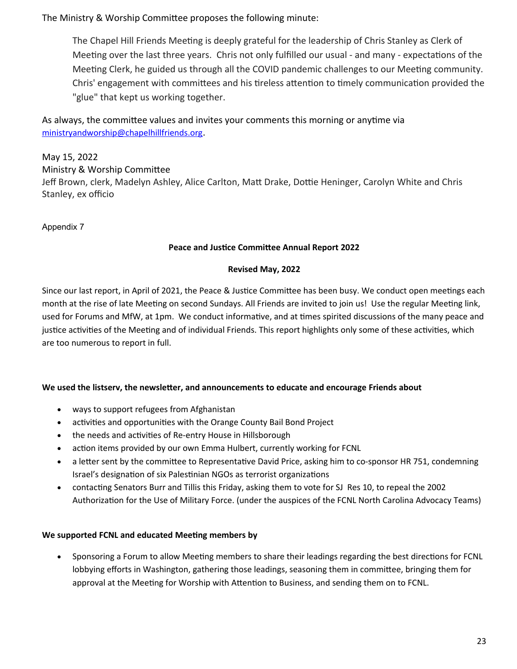The Ministry & Worship Committee proposes the following minute:

The Chapel Hill Friends Meeting is deeply grateful for the leadership of Chris Stanley as Clerk of Meeting over the last three years. Chris not only fulfilled our usual - and many - expectations of the Meeting Clerk, he guided us through all the COVID pandemic challenges to our Meeting community. Chris' engagement with committees and his tireless attention to timely communication provided the "glue" that kept us working together.

As always, the committee values and invites your comments this morning or anytime via [ministryandworship@chapelhillfriends.org](mailto:ministryandworship@chapelhillfriends.org).

May 15, 2022 Ministry & Worship Committee Jeff Brown, clerk, Madelyn Ashley, Alice Carlton, Matt Drake, Dottie Heninger, Carolyn White and Chris Stanley, ex officio

Appendix 7

#### **Peace and Justice Committee Annual Report 2022**

#### **Revised May, 2022**

Since our last report, in April of 2021, the Peace & Justice Committee has been busy. We conduct open meetings each month at the rise of late Meeting on second Sundays. All Friends are invited to join us! Use the regular Meeting link, used for Forums and MfW, at 1pm. We conduct informative, and at times spirited discussions of the many peace and justice activities of the Meeting and of individual Friends. This report highlights only some of these activities, which are too numerous to report in full.

#### **We used the listserv, the newsletter, and announcements to educate and encourage Friends about**

- ways to support refugees from Afghanistan
- activities and opportunities with the Orange County Bail Bond Project
- the needs and activities of Re-entry House in Hillsborough
- action items provided by our own Emma Hulbert, currently working for FCNL
- a letter sent by the committee to Representative David Price, asking him to co-sponsor HR 751, condemning Israel's designation of six Palestinian NGOs as terrorist organizations
- contacting Senators Burr and Tillis this Friday, asking them to vote for SJ Res 10, to repeal the 2002 Authorization for the Use of Military Force. (under the auspices of the FCNL North Carolina Advocacy Teams)

#### **We supported FCNL and educated Meeting members by**

 Sponsoring a Forum to allow Meeting members to share their leadings regarding the best directions for FCNL lobbying efforts in Washington, gathering those leadings, seasoning them in committee, bringing them for approval at the Meeting for Worship with Attention to Business, and sending them on to FCNL.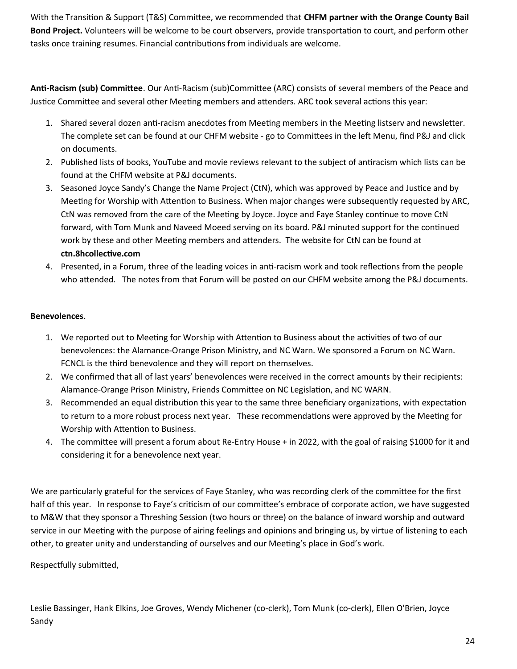With the Transition & Support (T&S) Committee, we recommended that **CHFM partner with the Orange County Bail Bond Project.** Volunteers will be welcome to be court observers, provide transportation to court, and perform other tasks once training resumes. Financial contributions from individuals are welcome.

**Anti-Racism (sub) Committee**. Our Anti-Racism (sub)Committee (ARC) consists of several members of the Peace and Justice Committee and several other Meeting members and attenders. ARC took several actions this year:

- 1. Shared several dozen anti-racism anecdotes from Meeting members in the Meeting listserv and newsletter. The complete set can be found at our CHFM website - go to Committees in the left Menu, find P&J and click on documents.
- 2. Published lists of books, YouTube and movie reviews relevant to the subject of antiracism which lists can be found at the CHFM website at P&J documents.
- 3. Seasoned Joyce Sandy's Change the Name Project (CtN), which was approved by Peace and Justice and by Meeting for Worship with Attention to Business. When major changes were subsequently requested by ARC, CtN was removed from the care of the Meeting by Joyce. Joyce and Faye Stanley continue to move CtN forward, with Tom Munk and Naveed Moeed serving on its board. P&J minuted support for the continued work by these and other Meeting members and attenders. The website for CtN can be found at **ctn.8hcollective.com**
- 4. Presented, in a Forum, three of the leading voices in anti-racism work and took reflections from the people who attended. The notes from that Forum will be posted on our CHFM website among the P&J documents.

#### **Benevolences**.

- 1. We reported out to Meeting for Worship with Attention to Business about the activities of two of our benevolences: the Alamance-Orange Prison Ministry, and NC Warn. We sponsored a Forum on NC Warn. FCNCL is the third benevolence and they will report on themselves.
- 2. We confirmed that all of last years' benevolences were received in the correct amounts by their recipients: Alamance-Orange Prison Ministry, Friends Committee on NC Legislation, and NC WARN.
- 3. Recommended an equal distribution this year to the same three beneficiary organizations, with expectation to return to a more robust process next year. These recommendations were approved by the Meeting for Worship with Attention to Business.
- 4. The committee will present a forum about Re-Entry House + in 2022, with the goal of raising \$1000 for it and considering it for a benevolence next year.

We are particularly grateful for the services of Faye Stanley, who was recording clerk of the committee for the first half of this year. In response to Faye's criticism of our committee's embrace of corporate action, we have suggested to M&W that they sponsor a Threshing Session (two hours or three) on the balance of inward worship and outward service in our Meeting with the purpose of airing feelings and opinions and bringing us, by virtue of listening to each other, to greater unity and understanding of ourselves and our Meeting's place in God's work.

Respectfully submitted,

Leslie Bassinger, Hank Elkins, Joe Groves, Wendy Michener (co-clerk), Tom Munk (co-clerk), Ellen O'Brien, Joyce Sandy